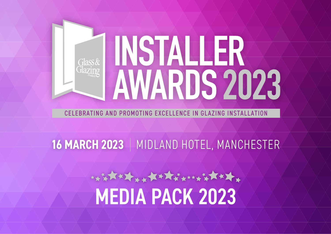# MSTALLER AWARDS 2023

CELEBRATING AND PROMOTING EXCELLENCE IN GLAZING INSTALLATION

## **16 MARCH 2023** | MIDLAND HOTEL, MANCHESTER

## \*\*\*\*\*\*\*\*\*\*\*\*\*\*\*\*\*\*\*\*\* [MEDIA PACK 2023](https://www.ggpinstallerawards.com/)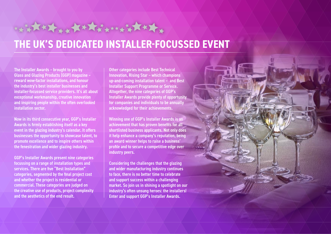## **THE UK'S DEDICATED INSTALLER-FOCUSSED EVENT**

HARRY ANTHRANAL

The Installer Awards – brought to you by Glass and Glazing Products (GGP) magazine – reward wow-factor installations, and honour the industry's best installer businesses and installer-focussed service providers. It's all about exceptional workmanship, creative innovation and inspiring people within the often overlooked installation sector.

Now in its third consecutive year, GGP's Installer Awards is firmly establishing itself as a key event in the glazing industry's calendar. It offers businesses the opportunity to showcase talent, to promote excellence and to inspire others within the fenestration and wider glazing industry.

GGP's Installer Awards present nine categories focussing on a range of installation types and services. There are five "Best Installation" categories, segmented by the final project cost and whether the project is residential or commercial. These categories are judged on the creative use of products, project complexity and the aesthetics of the end result.

Other categories include Best Technical Innovation, Rising Star – which champions up-and-coming installation talent – and Best Installer Support Programme or Service. Altogether, the nine categories of GGP's Installer Awards provide plenty of opportunity for companies and individuals to be annually acknowledged for their achievements.

Winning one of GGP's Installer Awards is an achievement that has proven benefits for all shortlisted business applicants. Not only does it help enhance a company's reputation, being an award winner helps to raise a business' profile and to secure a competitive edge over industry peers.

Considering the challenges that the glazing and wider manufacturing industry continues to face, there is no better time to celebrate and support success within a challenging market. So join us in shining a spotlight on our industry's often unsung heroes: the installers! Enter and support GGP's Installer Awards.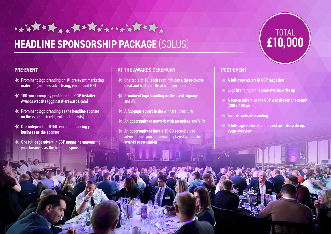## **HEADLINE SPONSORSHIP PACKAGE** (SOLUS)

\*\*\*\*\*\*\*\*\*\*\*\*\*\*\*\*\*\*\*\*\*

#### **PRE-EVENT**

- **EX** Prominent logo branding on all pre-event marketing material (includes advertising, emails and PR)
- **100-word company profile on the GGP Installer** Awards website (ggpinstallerawards.com)
- **EX** Prominent logo branding as the headline sponsor on the event e-ticket (sent to all guests)
- One independent HTML email announcing your business as the sponsor
- One full-page advert in GGP magazine announcing your business as the headline sponsor

#### AT THE AWARDS CEREMONY

- One table of 10 (each seat includes a three-course meal and half a bottle of wine per person)
- **Prominent logo branding on the event signage** and AV
- $\blacktriangleleft$  A full-page advert in the winners' brochure
- An opportunity to network with attendees and VIPs
- An opportunity to have a 10-20 second video advert about your business displayed within the awards presentation

都人 N 口N



#### POST-EVENT

- $\blacktriangle$  A full-page advert in GGP magazine
- $\triangleleft$  Logo branding in the post-awards write up
- $\blacktriangle$  A button advert on the GGP website for one month (300 x 100 pixels)
- $\blacktriangle$  Awards website branding
- $\blacktriangleleft$  A full-page editorial in the post awards write up, event overview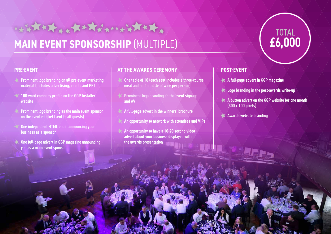## **MAIN EVENT SPONSORSHIP** (MULTIPLE)

\*\*\*\*\*\*\*\*\*\*\*\*\*\*\*\*\*\*\*\*\*\*\*\*

#### **PRE-EVENT**

- **EX** Prominent logo branding on all pre-event marketing material (includes advertising, emails and PR)
- 100-word company profile on the GGP Installer website
- Prominent logo branding as the main event sponsor on the event e-ticket (sent to all guests)
- One independent HTML email announcing your business as a sponsor
- One full-page advert in GGP magazine announcing you as a main event sponsor

#### **AT THE AWARDS CEREMONY**

- One table of 10 (each seat includes a three-course meal and half a bottle of wine per person)
- **Prominent logo branding on the event signage** and AV
- A full-page advert in the winners' brochure
- An opportunity to network with attendees and VIPs
- $\blacktriangleright$  An opportunity to have a 10-20 second video advert about your business displayed within the awards presentation

#### **POST-EVENT**

- A full-page advert in GGP magazine
- **Logo branding in the post-awards write-up**
- A button advert on the GGP website for one month (300 x 100 pixels)

TOTAL

£6,000

Awards website branding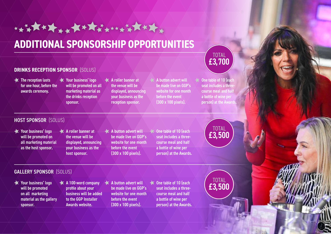## **ADDITIONAL SPONSORSHIP OPPORTUNITIES**

\*\*\*\*\*\*\*\*\*\*\*\*\*\*\*\*\*\*\*\*\*

#### **DRINKS RECEPTION SPONSOR (SOLUS)**

- **The reception lasts** for one hour, before the awards ceremony.
- **X** Your business' logo will be promoted on all marketing material as the drinks reception sponsor.
- **A** *A* roller banner at the venue will be displayed, announcing your business as the reception sponsor.
- A button advert will be made live on GGP's website for one month before the event (300 x 100 pixels).
- One table of 10 (each seat includes a threecourse meal and half a bottle of wine per person) at the Awards

TOTAL £3,700

TOTAL £3,500

#### HOST SPONSOR (SOLUS)

- **X** Your business' logo will be promoted on all marketing material as the host sponsor.
- $\blacktriangleright$  A roller banner at the venue will be displayed, announcing your business as the host sponsor.
- $\triangleleft$  A button advert will be made live on GGP's website for one month before the event (300 x 100 pixels).
- One table of 10 (each seat includes a threecourse meal and half a bottle of wine per person) at the Awards.

#### GALLERY SPONSOR (SOLUS)

- Your business' logo will be promoted on all marketing material as the gallery sponsor.
- $\bigstar$  A 100-word company profile about your business will be added to the GGP Installer Awards website.
- $\blacktriangle$  A button advert will be made live on GGP's website for one month before the event (300 x 100 pixels).
- **Cone table of 10 (each** seat includes a threecourse meal and half a bottle of wine per person) at the Awards.

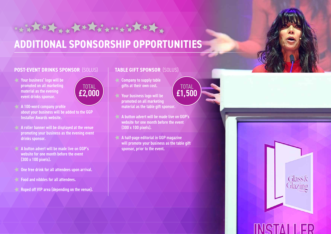## **ADDITIONAL SPONSORSHIP OPPORTUNITIES**

#### **POST-EVENT DRINKS SPONSOR** (SOLUS)

- $\triangle$  Your business' logo will be promoted on all marketing material as the evening event drinks sponsor.
- TOTAL £2,000

\*\*\*\*\*\*\*\*\*\*\*\*\*\*\*\*\*\*\*\*\*\*\*\*

- $\blacktriangle$  A 100-word company profile about your business will be added to the GGP Installer Awards website.
- $\blacktriangle$  A roller banner will be displayed at the venue promoting your business as the evening event drinks sponsor.
- $\blacktriangle$  A button advert will be made live on GGP's website for one month before the event (300 x 100 pixels).
- $\triangle$  One free drink for all attendees upon arrival.
- **Food and nibbles for all attendees.**
- Roped off VIP area (depending on the venue).

#### **TABLE GIFT SPONSOR** (SOLUS)

- **Company to supply table** gifts at their own cost.
- Your business logo will be promoted on all marketing material as the table gift sponsor.
- $\blacktriangleright$  A button advert will be made live on GGP's website for one month before the event (300 x 100 pixels).
- $\triangleleft$  A half-page editorial in GGP magazine will promote your business as the table gift sponsor, prior to the event.



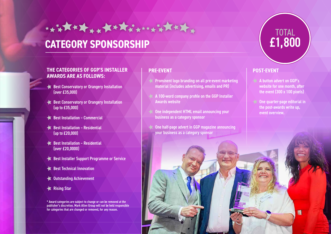### **CATEGORY SPONSORSHIP**

\*\*\*\*\*\*\*\*\*\*\*\*\*\*\*\*\*\*\*\*\*\*

#### **THE CATEGORIES OF GGP'S INSTALLER AWARDS ARE AS FOLLOWS:**

- Best Conservatory or Orangery Installation (over £35,000)
- Best Conservatory or Orangery Installation (up to £35,000)
- Best Installation Commercial
- $\triangleleft$  Best Installation Residential (up to £20,000)
- Best Installation Residential (over £20,0000)
- Best Installer Support Programme or Service
- Best Technical Innovation
- **THE Outstanding Achievement**
- **K** Rising Star

\* Award categories are subject to change or can be removed at the publisher's discretion. Mark Allen Group will not be held responsible for categories that are changed or removed, for any reason.

#### **PRE-EVENT**

- $\lt$  Prominent logo branding on all pre-event marketing material (includes advertising, emails and PR)
- $\blacktriangleright$   $\blacktriangle$  100-word company profile on the GGP Installer Awards website
- One independent HTML email announcing your business as a category sponsor
	- One half-page advert in GGP magazine announcing your business as a category sponsor



#### **POST-EVENT**

- $4$  A button advert on  $GGP's$ website for one month, after the event (300 x 100 pixels)
- One quarter-page editorial in the post-awards write up, event overview.